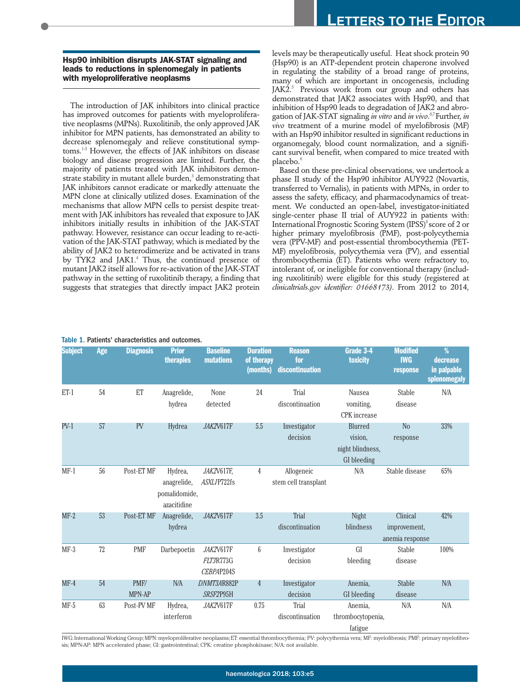**Hsp90 inhibition disrupts JAK-STAT signaling and leads to reductions in splenomegaly in patients with myeloproliferative neoplasms** 

The introduction of JAK inhibitors into clinical practice has improved outcomes for patients with myeloproliferative neoplasms (MPNs). Ruxolitinib, the only approved JAK inhibitor for MPN patients, has demonstrated an ability to decrease splenomegaly and relieve constitutional symptoms.1-3 However, the effects of JAK inhibitors on disease biology and disease progression are limited. Further, the majority of patients treated with JAK inhibitors demonstrate stability in mutant allele burden,<sup>3</sup> demonstrating that JAK inhibitors cannot eradicate or markedly attenuate the MPN clone at clinically utilized doses. Examination of the mechanisms that allow MPN cells to persist despite treatment with JAK inhibitors has revealed that exposure to JAK inhibitors initially results in inhibition of the JAK-STAT pathway. However, resistance can occur leading to re-activation of the JAK-STAT pathway, which is mediated by the ability of JAK2 to heterodimerize and be activated in trans by TYK2 and JAK1.<sup>4</sup> Thus, the continued presence of mutant JAK2 itself allows for re-activation of the JAK-STAT pathway in the setting of ruxolitinib therapy, a finding that suggests that strategies that directly impact JAK2 protein

levels may be therapeutically useful. Heat shock protein 90 (Hsp90) is an ATP-dependent protein chaperone involved in regulating the stability of a broad range of proteins, many of which are important in oncogenesis, including  $IAK2<sup>5</sup>$  Previous work from our group and others has demonstrated that JAK2 associates with Hsp90, and that inhibition of Hsp90 leads to degradation of JAK2 and abrogation of JAK-STAT signaling *in vitro* and *in vivo*. 6,7 Further, *in vivo* treatment of a murine model of myelofibrosis (MF) with an Hsp90 inhibitor resulted in significant reductions in organomegaly, blood count normalization, and a significant survival benefit, when compared to mice treated with placebo.<sup>6</sup>

Based on these pre-clinical observations, we undertook a phase II study of the Hsp90 inhibitor AUY922 (Novartis, transferred to Vernalis), in patients with MPNs, in order to assess the safety, efficacy, and pharmacodynamics of treatment. We conducted an open-label, investigator-initiated single-center phase II trial of AUY922 in patients with: International Prognostic Scoring System (IPSS)<sup>8</sup> score of 2 or higher primary myelofibrosis (PMF), post-polycythemia vera (PPV-MF) and post-essential thrombocythemia (PET-MF) myelofibrosis, polycythemia vera (PV), and essential thrombocythemia (ET). Patients who were refractory to, intolerant of, or ineligible for conventional therapy (including ruxolitinib) were eligible for this study (registered at *clinicaltrials.gov identifier: 01668173)*. From 2012 to 2014,

| <b>Subject</b> | Age    | <b>Diagnosis</b> | <b>Prior</b><br><b>therapies</b>                       | <b>Baseline</b><br><b>mutations</b>         | <b>Duration</b><br>of therapy<br>(months) | <b>Reason</b><br>for<br>discontinuation | Grade 3-4<br><b>toxicity</b>                          | <b>Modified</b><br><b>IWG</b><br>response   | %<br>decrease<br>in palpable<br>splenomegaly |
|----------------|--------|------------------|--------------------------------------------------------|---------------------------------------------|-------------------------------------------|-----------------------------------------|-------------------------------------------------------|---------------------------------------------|----------------------------------------------|
| $ET-1$         | 54     | ET               | Anagrelide,<br>hydrea                                  | None<br>detected                            | 24                                        | Trial<br>discontinuation                | Nausea<br>vomiting,<br><b>CPK</b> increase            | Stable<br>disease                           | N/A                                          |
| $PV-1$         | 57     | PV               | Hydrea                                                 | JAK2V617F                                   | 5.5                                       | Investigator<br>decision                | Blurred<br>vision,<br>night blindness,<br>GI bleeding | N <sub>o</sub><br>response                  | 33%                                          |
| $MF-1$         | 56     | Post-ET MF       | Hydrea,<br>anagrelide,<br>pomalidomide,<br>azacitidine | JAK2V617F,<br>ASXL1P722fs                   | 4                                         | Allogeneic<br>stem cell transplant      | N/A                                                   | Stable disease                              | 65%                                          |
| $MF-2$         | 53     | Post-ET MF       | Anagrelide,<br>hydrea                                  | JAK2V617F                                   | 3.5                                       | Trial<br>discontinuation                | Night<br>blindness                                    | Clinical<br>improvement,<br>anemia response | 42%                                          |
| $MF-3$         | $72\,$ | <b>PMF</b>       | Darbepoetin                                            | JAK2V617F<br><i>FLT3R773G</i><br>CEBPAP204S | 6                                         | Investigator<br>decision                | GI<br>bleeding                                        | Stable<br>disease                           | 100%                                         |
| $MF-4$         | 54     | PMF/<br>MPN-AP   | N/A                                                    | DNMT3AR882P<br>SRSF2P95H                    | $\overline{4}$                            | Investigator<br>decision                | Anemia,<br>GI bleeding                                | <b>Stable</b><br>disease                    | N/A                                          |
| $MF-5$         | 63     | Post-PV MF       | Hydrea,<br>interferon                                  | JAK2V617F                                   | 0.75                                      | Trial<br>discontinuation                | Anemia,<br>thrombocytopenia,<br>fatigue               | N/A                                         | N/A                                          |

#### Table 1. Patients' characteristics and outcomes.

IWG: International Working Group; MPN: myeloproliferative neoplasms; ET: essential thrombocythemia; PV: polycythemia vera; MF: myelofibrosis; PMF: primary myelofibrosis; MPN-AP: MPN accelerated phase; GI: gastrointestinal; CPK: creatine phosphokinase; N/A: not available.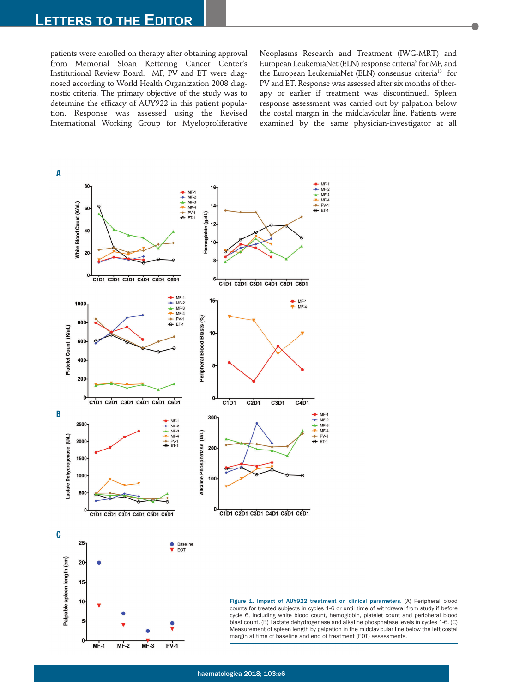# **LETTERS TO THE EDITOR**

patients were enrolled on therapy after obtaining approval from Memorial Sloan Kettering Cancer Center's Institutional Review Board. MF, PV and ET were diagnosed according to World Health Organization 2008 diagnostic criteria. The primary objective of the study was to determine the efficacy of AUY922 in this patient population. Response was assessed using the Revised International Working Group for Myeloproliferative Neoplasms Research and Treatment (IWG-MRT) and European LeukemiaNet (ELN) response criteria<sup>9</sup> for MF, and the European LeukemiaNet (ELN) consensus criteria<sup>10</sup> for PV and ET. Response was assessed after six months of therapy or earlier if treatment was discontinued. Spleen response assessment was carried out by palpation below the costal margin in the midclavicular line. Patients were examined by the same physician-investigator at all



counts for treated subjects in cycles 1-6 or until time of withdrawal from study if before cycle 6, including white blood count, hemoglobin, platelet count and peripheral blood blast count. (B) Lactate dehydrogenase and alkaline phosphatase levels in cycles 1-6. (C) Measurement of spleen length by palpation in the midclavicular line below the left costal margin at time of baseline and end of treatment (EOT) assessments.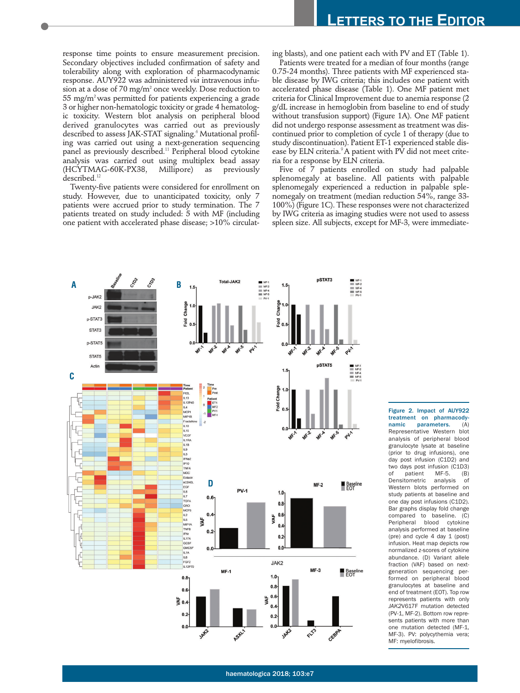response time points to ensure measurement precision. Secondary objectives included confirmation of safety and tolerability along with exploration of pharmacodynamic response. AUY922 was administered *via* intravenous infusion at a dose of 70 mg/m2 once weekly. Dose reduction to 55 mg/m2 was permitted for patients experiencing a grade 3 or higher non-hematologic toxicity or grade 4 hematologic toxicity. Western blot analysis on peripheral blood derived granulocytes was carried out as previously described to assess JAK-STAT signaling.<sup>6</sup> Mutational profiling was carried out using a next-generation sequencing panel as previously described.<sup>11</sup> Peripheral blood cytokine analysis was carried out using multiplex bead assay (HCYTMAG-60K-PX38, Millipore) as previously described.<sup>12</sup>

Twenty-five patients were considered for enrollment on study. However, due to unanticipated toxicity, only 7 patients were accrued prior to study termination. The 7 patients treated on study included: 5 with MF (including one patient with accelerated phase disease; >10% circulating blasts), and one patient each with PV and ET (Table 1).

Patients were treated for a median of four months (range 0.75-24 months). Three patients with MF experienced stable disease by IWG criteria; this includes one patient with accelerated phase disease (Table 1). One MF patient met criteria for Clinical Improvement due to anemia response (2 g/dL increase in hemoglobin from baseline to end of study without transfusion support) (Figure 1A). One MF patient did not undergo response assessment as treatment was discontinued prior to completion of cycle 1 of therapy (due to study discontinuation). Patient ET-1 experienced stable disease by ELN criteria. $9A$  patient with PV did not meet criteria for a response by ELN criteria.

Five of 7 patients enrolled on study had palpable splenomegaly at baseline. All patients with palpable splenomegaly experienced a reduction in palpable splenomegaly on treatment (median reduction 54%, range 33-  $100\%$ ) (Figure 1C). These responses were not characterized by IWG criteria as imaging studies were not used to assess spleen size. All subjects, except for MF-3, were immediate-



Figure 2. Impact of AUY922 treatment on pharmacodynamic parameters. Representative Western blot analysis of peripheral blood granulocyte lysate at baseline (prior to drug infusions), one day post infusion (C1D2) and two days post infusion (C1D3)<br>of patient MF-5. (B) of patient MF-5. (B)<br>Densitometric analysis of Densitometric analysis of Western blots performed on study patients at baseline and one day post infusions (C1D2). Bar graphs display fold change compared to baseline. (C) Peripheral blood cytokine analysis performed at baseline (pre) and cycle 4 day 1 (post) infusion. Heat map depicts row normalized z-scores of cytokine abundance. (D) Variant allele fraction (VAF) based on nextgeneration sequencing performed on peripheral blood granulocytes at baseline and end of treatment (EOT). Top row represents patients with only *JAK2*V617F mutation detected (PV-1, MF-2). Bottom row represents patients with more than one mutation detected (MF-1, MF-3). PV: polycythemia vera; MF: myelofibrosis.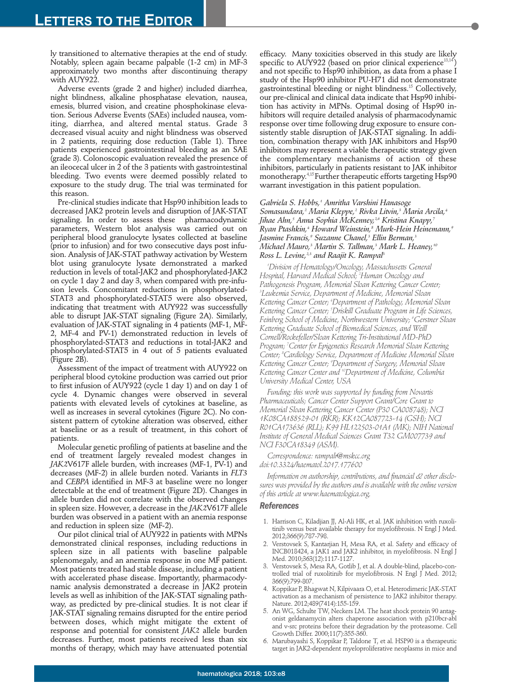ly transitioned to alternative therapies at the end of study. Notably, spleen again became palpable (1-2 cm) in MF-3 approximately two months after discontinuing therapy with AUY922.

Adverse events (grade 2 and higher) included diarrhea, night blindness, alkaline phosphatase elevation, nausea, emesis, blurred vision, and creatine phosphokinase elevation. Serious Adverse Events (SAEs) included nausea, vomiting, diarrhea, and altered mental status. Grade 3 decreased visual acuity and night blindness was observed in 2 patients, requiring dose reduction (Table 1). Three patients experienced gastrointestinal bleeding as an SAE (grade 3). Colonoscopic evaluation revealed the presence of an ileocecal ulcer in 2 of the 3 patients with gastrointestinal bleeding. Two events were deemed possibly related to exposure to the study drug. The trial was terminated for this reason.

Pre-clinical studies indicate that Hsp90 inhibition leads to decreased JAK2 protein levels and disruption of JAK-STAT signaling. In order to assess these pharmacodynamic parameters, Western blot analysis was carried out on peripheral blood granulocyte lysates collected at baseline (prior to infusion) and for two consecutive days post infusion. Analysis of JAK-STAT pathway activation by Western blot using granulocyte lysate demonstrated a marked reduction in levels of total-JAK2 and phosphorylated-JAK2 on cycle 1 day 2 and day 3, when compared with pre-infusion levels. Concomitant reductions in phosphorylated-STAT3 and phosphorylated-STAT5 were also observed, indicating that treatment with AUY922 was successfully able to disrupt JAK-STAT signaling (Figure 2A). Similarly, evaluation of JAK-STAT signaling in 4 patients (MF-1, MF-2, MF-4 and PV-1) demonstrated reduction in levels of phosphorylated-STAT3 and reductions in total-JAK2 and phosphorylated-STAT5 in 4 out of 5 patients evaluated (Figure 2B).

Assessment of the impact of treatment with AUY922 on peripheral blood cytokine production was carried out prior to first infusion of AUY922 (cycle 1 day 1) and on day 1 of cycle 4. Dynamic changes were observed in several patients with elevated levels of cytokines at baseline, as well as increases in several cytokines (Figure 2C). No consistent pattern of cytokine alteration was observed, either at baseline or as a result of treatment, in this cohort of patients.

Molecular genetic profiling of patients at baseline and the end of treatment largely revealed modest changes in *JAK2*V617F allele burden, with increases (MF-1, PV-1) and decreases (MF-2) in allele burden noted. Variants in *FLT3* and *CEBPA* identified in MF-3 at baseline were no longer detectable at the end of treatment (Figure 2D). Changes in allele burden did not correlate with the observed changes in spleen size. However, a decrease in the *JAK2*V617F allele burden was observed in a patient with an anemia response and reduction in spleen size (MF-2).

Our pilot clinical trial of AUY922 in patients with MPNs demonstrated clinical responses, including reductions in spleen size in all patients with baseline palpable splenomegaly, and an anemia response in one MF patient. Most patients treated had stable disease, including a patient with accelerated phase disease. Importantly, pharmacodynamic analysis demonstrated a decrease in JAK2 protein levels as well as inhibition of the JAK-STAT signaling pathway, as predicted by pre-clinical studies. It is not clear if JAK-STAT signaling remains disrupted for the entire period between doses, which might mitigate the extent of response and potential for consistent *JAK2* allele burden decreases. Further, most patients received less than six months of therapy, which may have attenuated potential

efficacy. Many toxicities observed in this study are likely specific to AUY922 (based on prior clinical experience<sup>13,14</sup>) and not specific to Hsp90 inhibition, as data from a phase I study of the Hsp90 inhibitor PU-H71 did not demonstrate gastrointestinal bleeding or night blindness.<sup>15</sup> Collectively, our pre-clinical and clinical data indicate that Hsp90 inhibition has activity in MPNs. Optimal dosing of Hsp90 inhibitors will require detailed analysis of pharmacodynamic response over time following drug exposure to ensure consistently stable disruption of JAK-STAT signaling. In addition, combination therapy with JAK inhibitors and Hsp90 inhibitors may represent a viable therapeutic strategy given the complementary mechanisms of action of these inhibitors, particularly in patients resistant to JAK inhibitor monotherapy.4,15 Further therapeutic efforts targeting Hsp90 warrant investigation in this patient population.

#### *Gabriela S. Hobbs,1 Amritha Varshini Hanasoge*

*Somasundara,2 Maria Kleppe,2 Rivka Litvin,3 Maria Arcila,4 Jihae Ahn,5 Anna Sophia McKenney,2,6 Kristina Knapp,7 Ryan Ptashkin,4 Howard Weinstein,8 Murk-Hein Heinemann,9 Jasmine Francis,9 Suzanne Chanel,3 Ellin Berman,3 Michael Mauro,3 Martin S. Tallman,3 Mark L. Heaney,10 Ross L. Levine*,<sup>2,3</sup> and Raajit K. Rampal<sup>3</sup>

*1 Division of Hematology/Oncology, Massachusetts General Hospital, Harvard Medical School; 2 Human Oncology and Pathogenesis Program, Memorial Sloan Kettering Cancer Center; 3 Leukemia Service, Department of Medicine, Memorial Sloan Kettering Cancer Center; 4 Department of Pathology, Memorial Sloan Kettering Cancer Center; 5 Driskill Graduate Program in Life Sciences, Feinberg School of Medicine, Northwestern University; 6 Gerstner Sloan Kettering Graduate School of Biomedical Sciences, and Weill Cornell/Rockefeller/Sloan Kettering Tri-Institutional MD-PhD Program; 7 Center for Epigenetics Research Memorial Sloan Kettering Center; 8 Cardiology Service, Department of Medicine Memorial Sloan Kettering Cancer Center; 9 Department of Surgery, Memorial Sloan Kettering Cancer Center and 10Department of Medicine, Columbia University Medical Center, USA*

*Funding: this work was supported by funding from Novartis Pharmaceuticals; Cancer Center Support Grant/Core Grant to Memorial Sloan Kettering Cancer Center (P30 CA008748); NCI 1K08CA188529-01 (RKR); KK12CA087723-14 (GSH); NCI R01CA173636 (RLL); K99 HL122503-01A1 (MK); NIH National Institute of General Medical Sciences Grant T32 GM007739 and NCI F30CA18349 (ASM).*

## *Correspondence: rampalr@mskcc.org doi:10.3324/haematol.2017.177600*

*Information on authorship, contributions, and financial & other disclosures was provided by the authors and is available with the online version of this article at www.haematologica.org.*

### *References*

- 1. Harrison C, Kiladjian JJ, Al-Ali HK, et al. JAK inhibition with ruxolitinib versus best available therapy for myelofibrosis. N Engl J Med. 2012;366(9):787-798.
- 2. Verstovsek S, Kantarjian H, Mesa RA, et al. Safety and efficacy of INCB018424, a JAK1 and JAK2 inhibitor, in myelofibrosis. N Engl J Med. 2010;363(12):1117-1127.
- 3. Verstovsek S, Mesa RA, Gotlib J, et al. A double-blind, placebo-controlled trial of ruxolitinib for myelofibrosis. N Engl J Med. 2012; 366(9):799-807.
- 4. Koppikar P, Bhagwat N, Kilpivaara O, et al. Heterodimeric JAK-STAT activation as a mechanism of persistence to JAK2 inhibitor therapy. Nature. 2012;489(7414):155-159.
- 5. An WG, Schulte TW, Neckers LM. The heat shock protein 90 antagonist geldanamycin alters chaperone association with p210bcr-abl and v-src proteins before their degradation by the proteasome. Cell Growth Differ. 2000;11(7):355-360.
- 6. Marubayashi S, Koppikar P, Taldone T, et al. HSP90 is a therapeutic target in JAK2-dependent myeloproliferative neoplasms in mice and